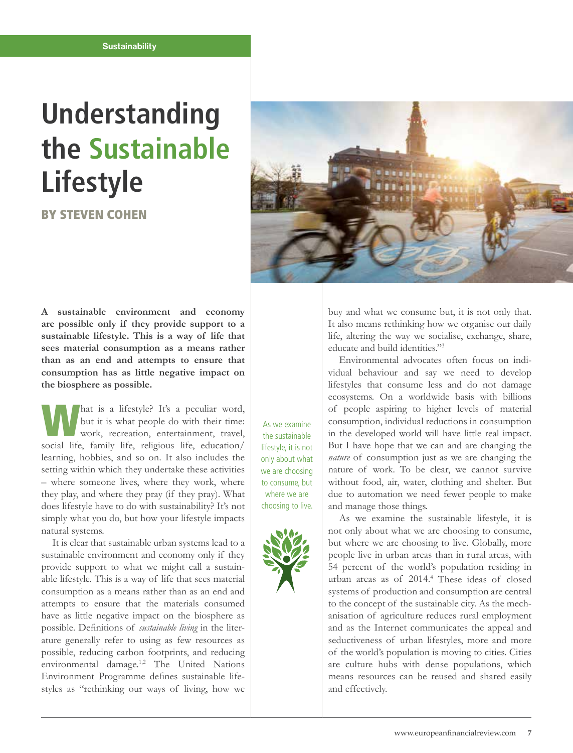### **Sustainability**

# **Understanding the Sustainable Lifestyle**

BY STEVEN COHEN



**A sustainable environment and economy are possible only if they provide support to a sustainable lifestyle. This is a way of life that sees material consumption as a means rather than as an end and attempts to ensure that consumption has as little negative impact on the biosphere as possible.**

What is a lifestyle? It's a peculiar word,<br>
but it is what people do with their time:<br>
work, recreation, entertainment, travel, but it is what people do with their time: social life, family life, religious life, education/ learning, hobbies, and so on. It also includes the setting within which they undertake these activities – where someone lives, where they work, where they play, and where they pray (if they pray). What does lifestyle have to do with sustainability? It's not simply what you do, but how your lifestyle impacts natural systems.

It is clear that sustainable urban systems lead to a sustainable environment and economy only if they provide support to what we might call a sustainable lifestyle. This is a way of life that sees material consumption as a means rather than as an end and attempts to ensure that the materials consumed have as little negative impact on the biosphere as possible. Definitions of *sustainable living* in the literature generally refer to using as few resources as possible, reducing carbon footprints, and reducing environmental damage.1,2 The United Nations Environment Programme defines sustainable lifestyles as "rethinking our ways of living, how we

As we examine the sustainable lifestyle, it is not only about what we are choosing to consume, but where we are choosing to live.



buy and what we consume but, it is not only that. It also means rethinking how we organise our daily life, altering the way we socialise, exchange, share, educate and build identities."3

Environmental advocates often focus on individual behaviour and say we need to develop lifestyles that consume less and do not damage ecosystems. On a worldwide basis with billions of people aspiring to higher levels of material consumption, individual reductions in consumption in the developed world will have little real impact. But I have hope that we can and are changing the *nature* of consumption just as we are changing the nature of work. To be clear, we cannot survive without food, air, water, clothing and shelter. But due to automation we need fewer people to make and manage those things.

As we examine the sustainable lifestyle, it is not only about what we are choosing to consume, but where we are choosing to live. Globally, more people live in urban areas than in rural areas, with 54 percent of the world's population residing in urban areas as of 2014.4 These ideas of closed systems of production and consumption are central to the concept of the sustainable city. As the mechanisation of agriculture reduces rural employment and as the Internet communicates the appeal and seductiveness of urban lifestyles, more and more of the world's population is moving to cities. Cities are culture hubs with dense populations, which means resources can be reused and shared easily and effectively.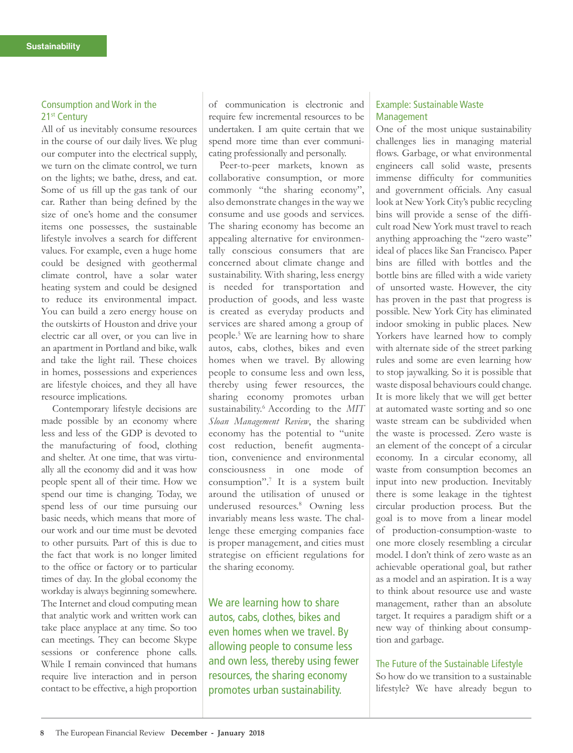## Consumption and Work in the 21<sup>st</sup> Century

All of us inevitably consume resources in the course of our daily lives. We plug our computer into the electrical supply, we turn on the climate control, we turn on the lights; we bathe, dress, and eat. Some of us fill up the gas tank of our car. Rather than being defined by the size of one's home and the consumer items one possesses, the sustainable lifestyle involves a search for different values. For example, even a huge home could be designed with geothermal climate control, have a solar water heating system and could be designed to reduce its environmental impact. You can build a zero energy house on the outskirts of Houston and drive your electric car all over, or you can live in an apartment in Portland and bike, walk and take the light rail. These choices in homes, possessions and experiences are lifestyle choices, and they all have resource implications.

Contemporary lifestyle decisions are made possible by an economy where less and less of the GDP is devoted to the manufacturing of food, clothing and shelter. At one time, that was virtually all the economy did and it was how people spent all of their time. How we spend our time is changing. Today, we spend less of our time pursuing our basic needs, which means that more of our work and our time must be devoted to other pursuits. Part of this is due to the fact that work is no longer limited to the office or factory or to particular times of day. In the global economy the workday is always beginning somewhere. The Internet and cloud computing mean that analytic work and written work can take place anyplace at any time. So too can meetings. They can become Skype sessions or conference phone calls. While I remain convinced that humans require live interaction and in person contact to be effective, a high proportion of communication is electronic and require few incremental resources to be undertaken. I am quite certain that we spend more time than ever communicating professionally and personally.

Peer-to-peer markets, known as collaborative consumption, or more commonly "the sharing economy", also demonstrate changes in the way we consume and use goods and services. The sharing economy has become an appealing alternative for environmentally conscious consumers that are concerned about climate change and sustainability. With sharing, less energy is needed for transportation and production of goods, and less waste is created as everyday products and services are shared among a group of people.5 We are learning how to share autos, cabs, clothes, bikes and even homes when we travel. By allowing people to consume less and own less, thereby using fewer resources, the sharing economy promotes urban sustainability.6 According to the *MIT Sloan Management Review*, the sharing economy has the potential to "unite cost reduction, benefit augmentation, convenience and environmental consciousness in one mode of consumption".7 It is a system built around the utilisation of unused or underused resources.8 Owning less invariably means less waste. The challenge these emerging companies face is proper management, and cities must strategise on efficient regulations for the sharing economy.

We are learning how to share autos, cabs, clothes, bikes and even homes when we travel. By allowing people to consume less and own less, thereby using fewer resources, the sharing economy promotes urban sustainability.

## Example: Sustainable Waste Management

One of the most unique sustainability challenges lies in managing material flows. Garbage, or what environmental engineers call solid waste, presents immense difficulty for communities and government officials. Any casual look at New York City's public recycling bins will provide a sense of the difficult road New York must travel to reach anything approaching the "zero waste" ideal of places like San Francisco. Paper bins are filled with bottles and the bottle bins are filled with a wide variety of unsorted waste. However, the city has proven in the past that progress is possible. New York City has eliminated indoor smoking in public places. New Yorkers have learned how to comply with alternate side of the street parking rules and some are even learning how to stop jaywalking. So it is possible that waste disposal behaviours could change. It is more likely that we will get better at automated waste sorting and so one waste stream can be subdivided when the waste is processed. Zero waste is an element of the concept of a circular economy. In a circular economy, all waste from consumption becomes an input into new production. Inevitably there is some leakage in the tightest circular production process. But the goal is to move from a linear model of production-consumption-waste to one more closely resembling a circular model. I don't think of zero waste as an achievable operational goal, but rather as a model and an aspiration. It is a way to think about resource use and waste management, rather than an absolute target. It requires a paradigm shift or a new way of thinking about consumption and garbage.

#### The Future of the Sustainable Lifestyle

So how do we transition to a sustainable lifestyle? We have already begun to